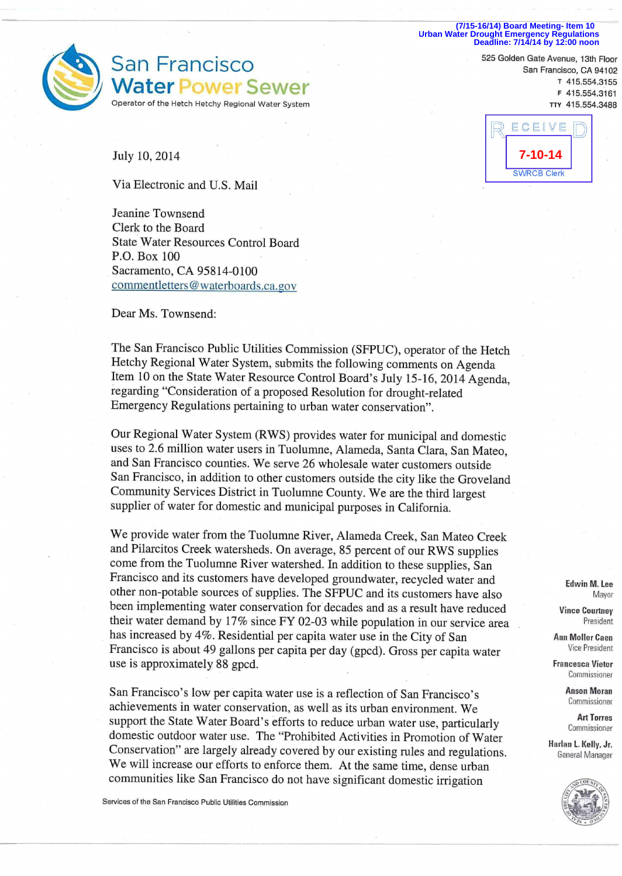**(7/15-16/14) Board Meeting- Item 10 Urban Water Drought Emergency Regulations Deadline: 7/14/14 by 12:00 noon**



San Francisco Water Power Sewer Operator of the Hetch Hetchy Regional Water System

July 10, 2014

Via Electronic and U.S. Mail

Jeanine Townsend Clerk to the Board State Water Resources Control Board P.O. Box 100 Sacramento, CA 95814-0100 commentletters@waterboards.ca.gov

Dear Ms. Townsend:

The San Francisco Public Utilities Commission (SFPUC), operator of the Hetch Hetchy Regional Water System, submits the following comments on Agenda Item 10 on the State Water Resource Control Board's July 15-16, 2014 Agenda, regarding "Consideration of a proposed Resolution for drought-related Emergency Regulations pertaining to urban water conservation".

Our Regional Water System (RWS) provides water for municipal and domestic uses to 2.6 million water users in Tuolumne, Alameda, Santa Clara, San Mateo, and San Francisco counties. We serve 26 wholesale water customers outside San Francisco, in addition to other customers outside the city like the Groveland Community Services District in Tuolumne County. We are the third largest supplier of water for domestic and municipal purposes in California.

We provide water from the Tuolumne River, Alameda Creek, San Mateo Creek and Pilarcitos Creek watersheds. On average, 85 percent of our RWS supplies come from the Tuolumne River watershed. In addition to these supplies, San Francisco and its customers have developed groundwater, recycled water and other non-potable sources of supplies. The SFPUC and its customers have also been implementing water conservation for decades and as a result have reduced their water demand by  $17\%$  since FY 02-03 while population in our service area has increased by 4%. Residential per capita water use in the City of San Francisco is about 49 gallons per capita per day (gpcd). Gross per capita water use is approximately 88 gpcd.

San Francisco's low per capita water use is a reflection of San Francisco's achievements in water conservation, as well as its urban environment. We support the State Water Board's efforts to reduce urban water use, particularly domestic outdoor water use. The "Prohibited Activities in Promotion of Water Conservation" are largely already covered by our existing rules and regulations. We will increase our efforts to enforce them. At the same time, dense urban communities like San Francisco do not have significant domestic irrigation

Services of the San Francisco Public Utilities Commission

San Francisco, CA 94102 T 415.554.3155 <sup>F</sup> 415.554.3161 TTY 415.554.3488

525 Golden Gate Avenue, 13th Floor



**Edwin M. Lee**  Mayor

**Vince Courtney**  President

**Ann MoIlerCaen**  Vice President

**Francesca Vietor**  Commissioner

> **Anson Moran**  Commissioner

> > **Art Torres**  Commissioner

**Harlan L. Kelly, Jr.**  General Manager